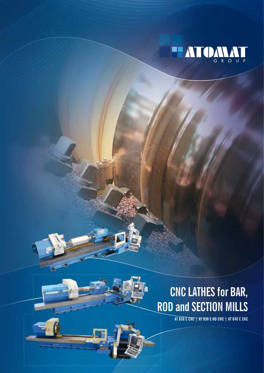



## **CNC LATHES for BAR, ROD and SECTION MILLS**

**AT 830 E CNC | AT 830 E HD CNC | AT 840 E CNC**